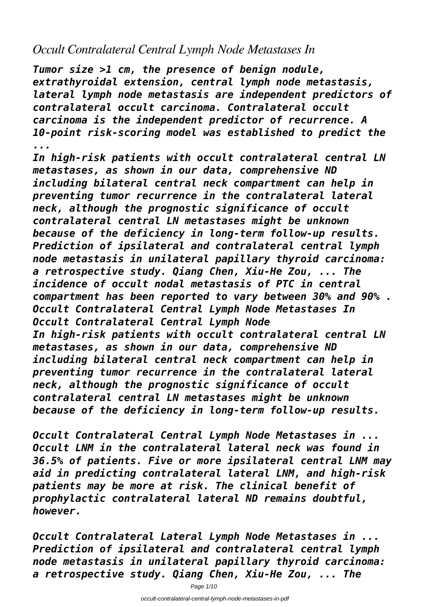## *Occult Contralateral Central Lymph Node Metastases In*

*Tumor size >1 cm, the presence of benign nodule, extrathyroidal extension, central lymph node metastasis, lateral lymph node metastasis are independent predictors of contralateral occult carcinoma. Contralateral occult carcinoma is the independent predictor of recurrence. A 10-point risk-scoring model was established to predict the ...*

*In high-risk patients with occult contralateral central LN metastases, as shown in our data, comprehensive ND including bilateral central neck compartment can help in preventing tumor recurrence in the contralateral lateral neck, although the prognostic significance of occult contralateral central LN metastases might be unknown because of the deficiency in long-term follow-up results. Prediction of ipsilateral and contralateral central lymph node metastasis in unilateral papillary thyroid carcinoma: a retrospective study. Qiang Chen, Xiu-He Zou, ... The incidence of occult nodal metastasis of PTC in central compartment has been reported to vary between 30% and 90% . Occult Contralateral Central Lymph Node Metastases In Occult Contralateral Central Lymph Node In high-risk patients with occult contralateral central LN metastases, as shown in our data, comprehensive ND including bilateral central neck compartment can help in preventing tumor recurrence in the contralateral lateral neck, although the prognostic significance of occult contralateral central LN metastases might be unknown because of the deficiency in long-term follow-up results.*

*Occult Contralateral Central Lymph Node Metastases in ... Occult LNM in the contralateral lateral neck was found in 36.5% of patients. Five or more ipsilateral central LNM may aid in predicting contralateral lateral LNM, and high-risk patients may be more at risk. The clinical benefit of prophylactic contralateral lateral ND remains doubtful, however.*

*Occult Contralateral Lateral Lymph Node Metastases in ... Prediction of ipsilateral and contralateral central lymph node metastasis in unilateral papillary thyroid carcinoma: a retrospective study. Qiang Chen, Xiu-He Zou, ... The*

Page 1/10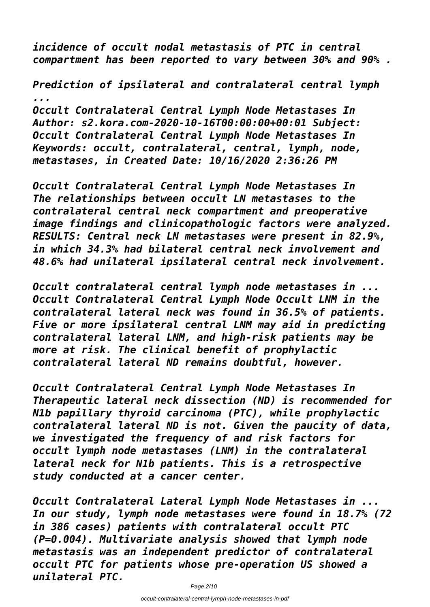*incidence of occult nodal metastasis of PTC in central compartment has been reported to vary between 30% and 90% .*

*Prediction of ipsilateral and contralateral central lymph ... Occult Contralateral Central Lymph Node Metastases In Author: s2.kora.com-2020-10-16T00:00:00+00:01 Subject: Occult Contralateral Central Lymph Node Metastases In*

*Keywords: occult, contralateral, central, lymph, node, metastases, in Created Date: 10/16/2020 2:36:26 PM*

*Occult Contralateral Central Lymph Node Metastases In The relationships between occult LN metastases to the contralateral central neck compartment and preoperative image findings and clinicopathologic factors were analyzed. RESULTS: Central neck LN metastases were present in 82.9%, in which 34.3% had bilateral central neck involvement and 48.6% had unilateral ipsilateral central neck involvement.*

*Occult contralateral central lymph node metastases in ... Occult Contralateral Central Lymph Node Occult LNM in the contralateral lateral neck was found in 36.5% of patients. Five or more ipsilateral central LNM may aid in predicting contralateral lateral LNM, and high-risk patients may be more at risk. The clinical benefit of prophylactic contralateral lateral ND remains doubtful, however.*

*Occult Contralateral Central Lymph Node Metastases In Therapeutic lateral neck dissection (ND) is recommended for N1b papillary thyroid carcinoma (PTC), while prophylactic contralateral lateral ND is not. Given the paucity of data, we investigated the frequency of and risk factors for occult lymph node metastases (LNM) in the contralateral lateral neck for N1b patients. This is a retrospective study conducted at a cancer center.*

*Occult Contralateral Lateral Lymph Node Metastases in ... In our study, lymph node metastases were found in 18.7% (72 in 386 cases) patients with contralateral occult PTC (P=0.004). Multivariate analysis showed that lymph node metastasis was an independent predictor of contralateral occult PTC for patients whose pre-operation US showed a unilateral PTC.*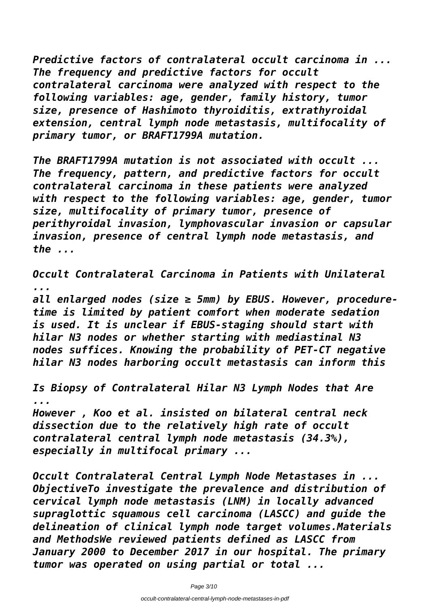*Predictive factors of contralateral occult carcinoma in ... The frequency and predictive factors for occult contralateral carcinoma were analyzed with respect to the following variables: age, gender, family history, tumor size, presence of Hashimoto thyroiditis, extrathyroidal extension, central lymph node metastasis, multifocality of primary tumor, or BRAFT1799A mutation.*

*The BRAFT1799A mutation is not associated with occult ... The frequency, pattern, and predictive factors for occult contralateral carcinoma in these patients were analyzed with respect to the following variables: age, gender, tumor size, multifocality of primary tumor, presence of perithyroidal invasion, lymphovascular invasion or capsular invasion, presence of central lymph node metastasis, and the ...*

*Occult Contralateral Carcinoma in Patients with Unilateral ... all enlarged nodes (size ≥ 5mm) by EBUS. However, proceduretime is limited by patient comfort when moderate sedation is used. It is unclear if EBUS-staging should start with hilar N3 nodes or whether starting with mediastinal N3 nodes suffices. Knowing the probability of PET-CT negative hilar N3 nodes harboring occult metastasis can inform this*

*Is Biopsy of Contralateral Hilar N3 Lymph Nodes that Are ... However , Koo et al. insisted on bilateral central neck dissection due to the relatively high rate of occult contralateral central lymph node metastasis (34.3%), especially in multifocal primary ...*

*Occult Contralateral Central Lymph Node Metastases in ... ObjectiveTo investigate the prevalence and distribution of cervical lymph node metastasis (LNM) in locally advanced supraglottic squamous cell carcinoma (LASCC) and guide the delineation of clinical lymph node target volumes.Materials and MethodsWe reviewed patients defined as LASCC from January 2000 to December 2017 in our hospital. The primary tumor was operated on using partial or total ...*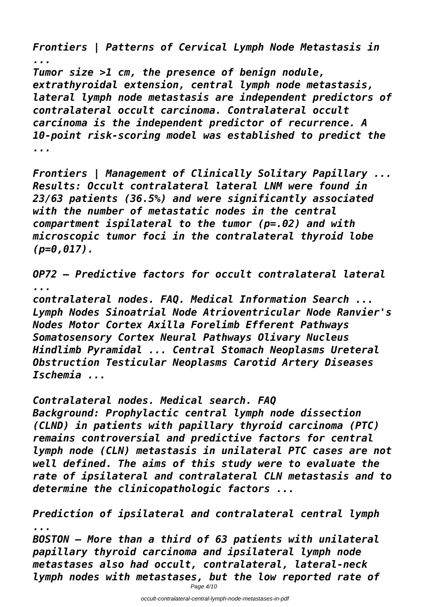*Frontiers | Patterns of Cervical Lymph Node Metastasis in ... Tumor size >1 cm, the presence of benign nodule,*

*extrathyroidal extension, central lymph node metastasis, lateral lymph node metastasis are independent predictors of contralateral occult carcinoma. Contralateral occult carcinoma is the independent predictor of recurrence. A 10-point risk-scoring model was established to predict the ...*

*Frontiers | Management of Clinically Solitary Papillary ... Results: Occult contralateral lateral LNM were found in 23/63 patients (36.5%) and were significantly associated with the number of metastatic nodes in the central compartment ispilateral to the tumor (p=.02) and with microscopic tumor foci in the contralateral thyroid lobe (p=0,017).*

*OP72 – Predictive factors for occult contralateral lateral ...*

*contralateral nodes. FAQ. Medical Information Search ... Lymph Nodes Sinoatrial Node Atrioventricular Node Ranvier's Nodes Motor Cortex Axilla Forelimb Efferent Pathways Somatosensory Cortex Neural Pathways Olivary Nucleus Hindlimb Pyramidal ... Central Stomach Neoplasms Ureteral Obstruction Testicular Neoplasms Carotid Artery Diseases Ischemia ...*

*Contralateral nodes. Medical search. FAQ Background: Prophylactic central lymph node dissection (CLND) in patients with papillary thyroid carcinoma (PTC) remains controversial and predictive factors for central lymph node (CLN) metastasis in unilateral PTC cases are not well defined. The aims of this study were to evaluate the rate of ipsilateral and contralateral CLN metastasis and to determine the clinicopathologic factors ...*

*Prediction of ipsilateral and contralateral central lymph ... BOSTON – More than a third of 63 patients with unilateral papillary thyroid carcinoma and ipsilateral lymph node metastases also had occult, contralateral, lateral-neck lymph nodes with metastases, but the low reported rate of*

Page 4/10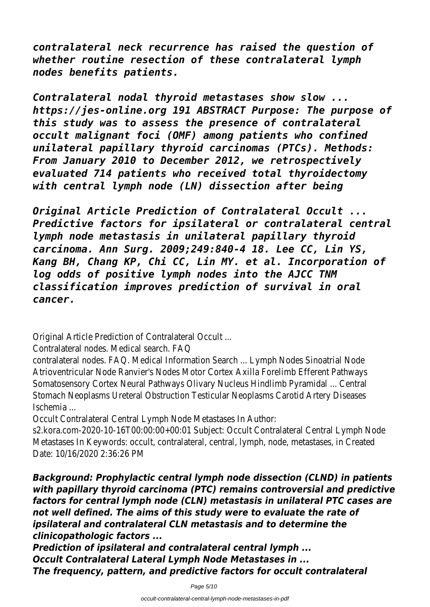*contralateral neck recurrence has raised the question of whether routine resection of these contralateral lymph nodes benefits patients.*

*Contralateral nodal thyroid metastases show slow ... https://jes-online.org 191 ABSTRACT Purpose: The purpose of this study was to assess the presence of contralateral occult malignant foci (OMF) among patients who confined unilateral papillary thyroid carcinomas (PTCs). Methods: From January 2010 to December 2012, we retrospectively evaluated 714 patients who received total thyroidectomy with central lymph node (LN) dissection after being*

*Original Article Prediction of Contralateral Occult ... Predictive factors for ipsilateral or contralateral central lymph node metastasis in unilateral papillary thyroid carcinoma. Ann Surg. 2009;249:840-4 18. Lee CC, Lin YS, Kang BH, Chang KP, Chi CC, Lin MY. et al. Incorporation of log odds of positive lymph nodes into the AJCC TNM classification improves prediction of survival in oral cancer.*

Original Article Prediction of Contralateral Occult ...

Contralateral nodes. Medical search. FAQ

contralateral nodes. FAQ. Medical Information Search ... Lymph Nodes Sinoatrial Node Atrioventricular Node Ranvier's Nodes Motor Cortex Axilla Forelimb Efferent Pathway Somatosensory Cortex Neural Pathways Olivary Nucleus Hindlimb Pyramidal ... Central Stomach Neoplasms Ureteral Obstruction Testicular Neoplasms Carotid Artery Diseas Ischemia ...

Occult Contralateral Central Lymph Node Metastases In Author:

s2.kora.com-2020-10-16T00:00:00+00:01 Subject: Occult Contralateral Central Lym Metastases In Keywords: occult, contralateral, central, lymph, node, metastases, in C Date: 10/16/2020 2:36:26 PM

*Background: Prophylactic central lymph node dissection (CLND) in patients with papillary thyroid carcinoma (PTC) remains controversial and predictive factors for central lymph node (CLN) metastasis in unilateral PTC cases are not well defined. The aims of this study were to evaluate the rate of ipsilateral and contralateral CLN metastasis and to determine the clinicopathologic factors ...*

*Prediction of ipsilateral and contralateral central lymph ... Occult Contralateral Lateral Lymph Node Metastases in ... The frequency, pattern, and predictive factors for occult contralateral*

Page 5/10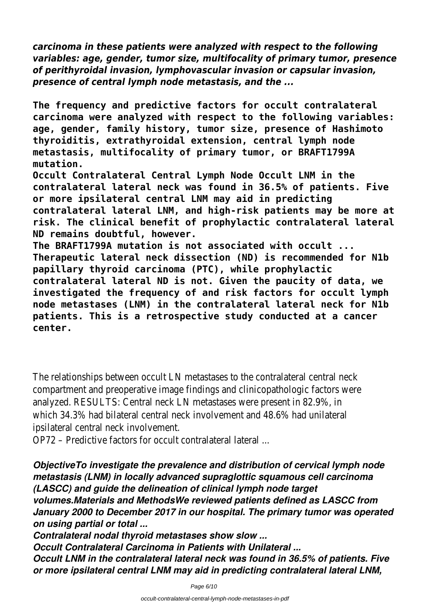*carcinoma in these patients were analyzed with respect to the following variables: age, gender, tumor size, multifocality of primary tumor, presence of perithyroidal invasion, lymphovascular invasion or capsular invasion, presence of central lymph node metastasis, and the ...*

**The frequency and predictive factors for occult contralateral carcinoma were analyzed with respect to the following variables: age, gender, family history, tumor size, presence of Hashimoto thyroiditis, extrathyroidal extension, central lymph node metastasis, multifocality of primary tumor, or BRAFT1799A mutation.**

**Occult Contralateral Central Lymph Node Occult LNM in the contralateral lateral neck was found in 36.5% of patients. Five or more ipsilateral central LNM may aid in predicting contralateral lateral LNM, and high-risk patients may be more at risk. The clinical benefit of prophylactic contralateral lateral ND remains doubtful, however.**

**The BRAFT1799A mutation is not associated with occult ... Therapeutic lateral neck dissection (ND) is recommended for N1b papillary thyroid carcinoma (PTC), while prophylactic contralateral lateral ND is not. Given the paucity of data, we investigated the frequency of and risk factors for occult lymph node metastases (LNM) in the contralateral lateral neck for N1b patients. This is a retrospective study conducted at a cancer center.**

The relationships between occult LN metastases to the contralateral central neck compartment and preoperative image findings and clinicopathologic factors we analyzed. RESULTS: Central neck LN metastases were present in 82.9%, in which 34.3% had bilateral central neck involvement and 48.6% had unilateral ipsilateral central neck involvement.

OP72 – Predictive factors for occult contralateral lateral ...

*ObjectiveTo investigate the prevalence and distribution of cervical lymph node metastasis (LNM) in locally advanced supraglottic squamous cell carcinoma (LASCC) and guide the delineation of clinical lymph node target volumes.Materials and MethodsWe reviewed patients defined as LASCC from January 2000 to December 2017 in our hospital. The primary tumor was operated on using partial or total ...*

*Contralateral nodal thyroid metastases show slow ... Occult Contralateral Carcinoma in Patients with Unilateral ... Occult LNM in the contralateral lateral neck was found in 36.5% of patients. Five or more ipsilateral central LNM may aid in predicting contralateral lateral LNM,*

Page 6/10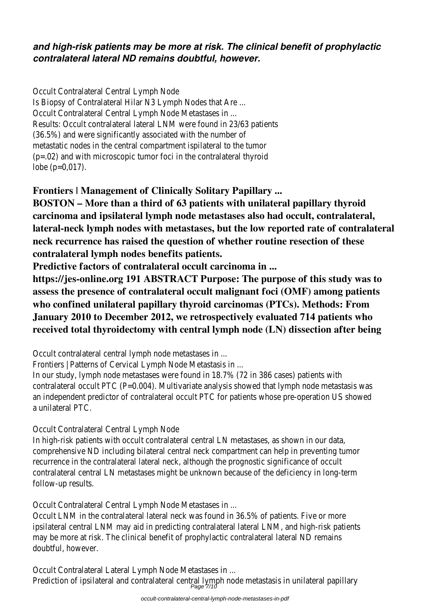## *and high-risk patients may be more at risk. The clinical benefit of prophylactic contralateral lateral ND remains doubtful, however.*

Occult Contralateral Central Lymph Node Is Biopsy of Contralateral Hilar N3 Lymph Nodes that Are ... Occult Contralateral Central Lymph Node Metastases in ... Results: Occult contralateral lateral LNM were found in 23/63 patients (36.5%) and were significantly associated with the number of metastatic nodes in the central compartment ispilateral to the tumor (p=.02) and with microscopic tumor foci in the contralateral thyroid lobe (p=0,017).

**Frontiers | Management of Clinically Solitary Papillary ...**

**BOSTON – More than a third of 63 patients with unilateral papillary thyroid carcinoma and ipsilateral lymph node metastases also had occult, contralateral, lateral-neck lymph nodes with metastases, but the low reported rate of contralateral neck recurrence has raised the question of whether routine resection of these contralateral lymph nodes benefits patients.**

**Predictive factors of contralateral occult carcinoma in ...**

**https://jes-online.org 191 ABSTRACT Purpose: The purpose of this study was to assess the presence of contralateral occult malignant foci (OMF) among patients who confined unilateral papillary thyroid carcinomas (PTCs). Methods: From January 2010 to December 2012, we retrospectively evaluated 714 patients who received total thyroidectomy with central lymph node (LN) dissection after being**

Occult contralateral central lymph node metastases in ...

Frontiers | Patterns of Cervical Lymph Node Metastasis in ...

In our study, lymph node metastases were found in 18.7% (72 in 386 cases) patients with contralateral occult PTC (P=0.004). Multivariate analysis showed that lymph node metastas an independent predictor of contralateral occult PTC for patients whose pre-operation US s a unilateral PTC.

Occult Contralateral Central Lymph Node

In high-risk patients with occult contralateral central LN metastases, as shown in our data, comprehensive ND including bilateral central neck compartment can help in preventing tumo recurrence in the contralateral lateral neck, although the prognostic significance of occult contralateral central LN metastases might be unknown because of the deficiency in long-te follow-up results.

Occult Contralateral Central Lymph Node Metastases in ...

Occult LNM in the contralateral lateral neck was found in 36.5% of patients. Five or more ipsilateral central LNM may aid in predicting contralateral lateral LNM, and high-risk patients may be more at risk. The clinical benefit of prophylactic contralateral lateral ND remains doubtful, however.

Occult Contralateral Lateral Lymph Node Metastases in ...

Prediction of ipsilateral and contralateral central lymph node metastasis in unilateral papillar<br>Page 7/10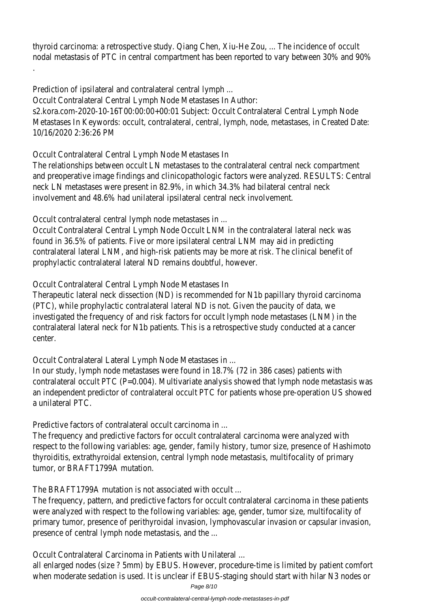thyroid carcinoma: a retrospective study. Qiang Chen, Xiu-He Zou, ... The incidence of occult nodal metastasis of PTC in central compartment has been reported to vary between 30% a .

Prediction of ipsilateral and contralateral central lymph ...

Occult Contralateral Central Lymph Node Metastases In Author:

s2.kora.com-2020-10-16T00:00:00+00:01 Subject: Occult Contralateral Central Lymph Node Metastases In Keywords: occult, contralateral, central, lymph, node, metastases, in Created 10/16/2020 2:36:26 PM

Occult Contralateral Central Lymph Node Metastases In

The relationships between occult LN metastases to the contralateral central neck compartr and preoperative image findings and clinicopathologic factors were analyzed. RESULTS: Centi neck LN metastases were present in 82.9%, in which 34.3% had bilateral central neck involvement and 48.6% had unilateral ipsilateral central neck involvement.

Occult contralateral central lymph node metastases in ...

Occult Contralateral Central Lymph Node Occult LNM in the contralateral lateral neck was found in 36.5% of patients. Five or more ipsilateral central LNM may aid in predicting contralateral lateral LNM, and high-risk patients may be more at risk. The clinical benefit of prophylactic contralateral lateral ND remains doubtful, however.

Occult Contralateral Central Lymph Node Metastases In

Therapeutic lateral neck dissection (ND) is recommended for N1b papillary thyroid carcinoma (PTC), while prophylactic contralateral lateral ND is not. Given the paucity of data, we investigated the frequency of and risk factors for occult lymph node metastases (LNM) in t contralateral lateral neck for N1b patients. This is a retrospective study conducted at a can center.

Occult Contralateral Lateral Lymph Node Metastases in ...

In our study, lymph node metastases were found in 18.7% (72 in 386 cases) patients with contralateral occult PTC (P=0.004). Multivariate analysis showed that lymph node metastas an independent predictor of contralateral occult PTC for patients whose pre-operation US s a unilateral PTC.

Predictive factors of contralateral occult carcinoma in ...

The frequency and predictive factors for occult contralateral carcinoma were analyzed with respect to the following variables: age, gender, family history, tumor size, presence of Hashi thyroiditis, extrathyroidal extension, central lymph node metastasis, multifocality of primary tumor, or BRAFT1799A mutation.

The BRAFT1799A mutation is not associated with occult ...

The frequency, pattern, and predictive factors for occult contralateral carcinoma in these patients. were analyzed with respect to the following variables: age, gender, tumor size, multifocality primary tumor, presence of perithyroidal invasion, lymphovascular invasion or capsular invasi presence of central lymph node metastasis, and the ...

Occult Contralateral Carcinoma in Patients with Unilateral ...

all enlarged nodes (size ? 5mm) by EBUS. However, procedure-time is limited by patient com when moderate sedation is used. It is unclear if EBUS-staging should start with hilar N3 nod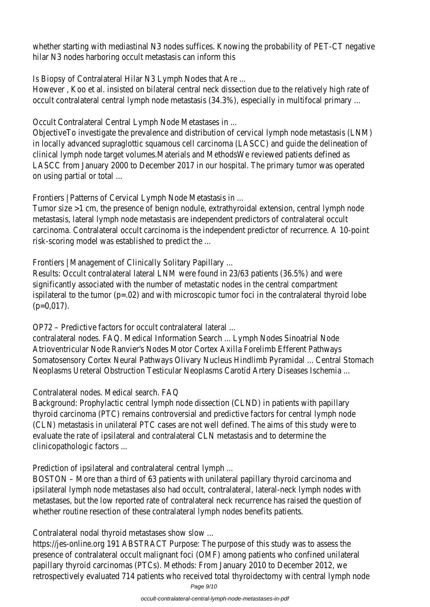whether starting with mediastinal N3 nodes suffices. Knowing the probability of PET-CT ned hilar N3 nodes harboring occult metastasis can inform this

Is Biopsy of Contralateral Hilar N3 Lymph Nodes that Are ...

However, Koo et al. insisted on bilateral central neck dissection due to the relatively high rate occult contralateral central lymph node metastasis (34.3%), especially in multifocal primary

Occult Contralateral Central Lymph Node Metastases in ...

ObjectiveTo investigate the prevalence and distribution of cervical lymph node metastasis (L in locally advanced supraglottic squamous cell carcinoma (LASCC) and guide the delineation clinical lymph node target volumes.Materials and MethodsWe reviewed patients defined as LASCC from January 2000 to December 2017 in our hospital. The primary tumor was opera on using partial or total ...

Frontiers | Patterns of Cervical Lymph Node Metastasis in ...

Tumor size >1 cm, the presence of benign nodule, extrathyroidal extension, central lymph no metastasis, lateral lymph node metastasis are independent predictors of contralateral occult carcinoma. Contralateral occult carcinoma is the independent predictor of recurrence. A 10risk-scoring model was established to predict the ...

Frontiers | Management of Clinically Solitary Papillary ...

Results: Occult contralateral lateral LNM were found in 23/63 patients (36.5%) and were significantly associated with the number of metastatic nodes in the central compartment ispilateral to the tumor ( $p=.02$ ) and with microscopic tumor foci in the contralateral thyroid (p=0,017).

OP72 – Predictive factors for occult contralateral lateral ...

contralateral nodes. FAQ. Medical Information Search ... Lymph Nodes Sinoatrial Node Atrioventricular Node Ranvier's Nodes Motor Cortex Axilla Forelimb Efferent Pathways Somatosensory Cortex Neural Pathways Olivary Nucleus Hindlimb Pyramidal ... Central Stoma Neoplasms Ureteral Obstruction Testicular Neoplasms Carotid Artery Diseases Ischemia ...

Contralateral nodes. Medical search. FAQ

Background: Prophylactic central lymph node dissection (CLND) in patients with papillary thyroid carcinoma (PTC) remains controversial and predictive factors for central lymph node (CLN) metastasis in unilateral PTC cases are not well defined. The aims of this study were t evaluate the rate of ipsilateral and contralateral CLN metastasis and to determine the clinicopathologic factors ...

Prediction of ipsilateral and contralateral central lymph ...

BOSTON – More than a third of 63 patients with unilateral papillary thyroid carcinoma and ipsilateral lymph node metastases also had occult, contralateral, lateral-neck lymph nodes w metastases, but the low reported rate of contralateral neck recurrence has raised the ques whether routine resection of these contralateral lymph nodes benefits patients.

Contralateral nodal thyroid metastases show slow ...

https://jes-online.org 191 ABSTRACT Purpose: The purpose of this study was to assess the presence of contralateral occult malignant foci (OMF) among patients who confined unilate papillary thyroid carcinomas (PTCs). Methods: From January 2010 to December 2012, we retrospectively evaluated 714 patients who received total thyroidectomy with central lympl